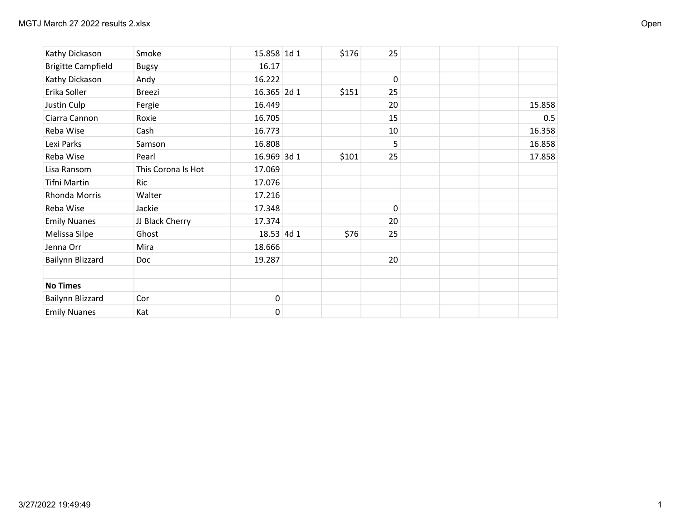| Kathy Dickason            | Smoke              | 15.858 1d 1 | \$176 | 25       |        |
|---------------------------|--------------------|-------------|-------|----------|--------|
| <b>Brigitte Campfield</b> | <b>Bugsy</b>       | 16.17       |       |          |        |
| Kathy Dickason            | Andy               | 16.222      |       | $\Omega$ |        |
| Erika Soller              | <b>Breezi</b>      | 16.365 2d 1 | \$151 | 25       |        |
| Justin Culp               | Fergie             | 16.449      |       | 20       | 15.858 |
| Ciarra Cannon             | Roxie              | 16.705      |       | 15       | 0.5    |
| Reba Wise                 | Cash               | 16.773      |       | 10       | 16.358 |
| Lexi Parks                | Samson             | 16.808      |       | 5        | 16.858 |
| Reba Wise                 | Pearl              | 16.969 3d 1 | \$101 | 25       | 17.858 |
| Lisa Ransom               | This Corona Is Hot | 17.069      |       |          |        |
| Tifni Martin              | Ric                | 17.076      |       |          |        |
| Rhonda Morris             | Walter             | 17.216      |       |          |        |
| Reba Wise                 | Jackie             | 17.348      |       | 0        |        |
| <b>Emily Nuanes</b>       | JJ Black Cherry    | 17.374      |       | 20       |        |
| Melissa Silpe             | Ghost              | 18.53 4d 1  | \$76  | 25       |        |
| Jenna Orr                 | Mira               | 18.666      |       |          |        |
| Bailynn Blizzard          | Doc                | 19.287      |       | 20       |        |
|                           |                    |             |       |          |        |
| <b>No Times</b>           |                    |             |       |          |        |
| Bailynn Blizzard          | Cor                | $\pmb{0}$   |       |          |        |
| <b>Emily Nuanes</b>       | Kat                | $\mathbf 0$ |       |          |        |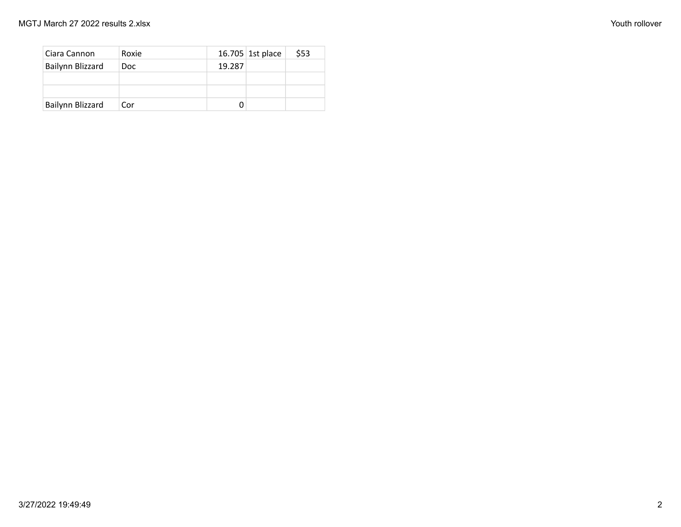| Ciara Cannon     | Roxie |        | 16.705 1st place | \$53 |
|------------------|-------|--------|------------------|------|
| Bailynn Blizzard | Doc.  | 19.287 |                  |      |
|                  |       |        |                  |      |
|                  |       |        |                  |      |
| Bailynn Blizzard | Cor   |        |                  |      |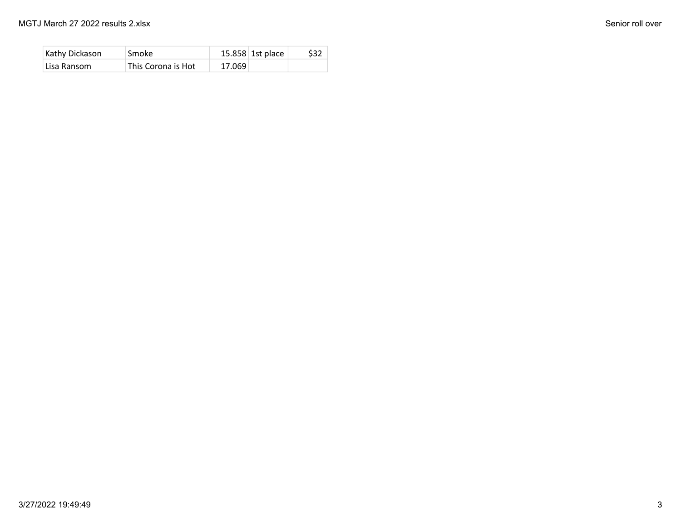| Kathy Dickason | Smoke              | $15.858$ 1st place | \$32 |
|----------------|--------------------|--------------------|------|
| Lisa Ransom    | This Corona is Hot | 17.069             |      |